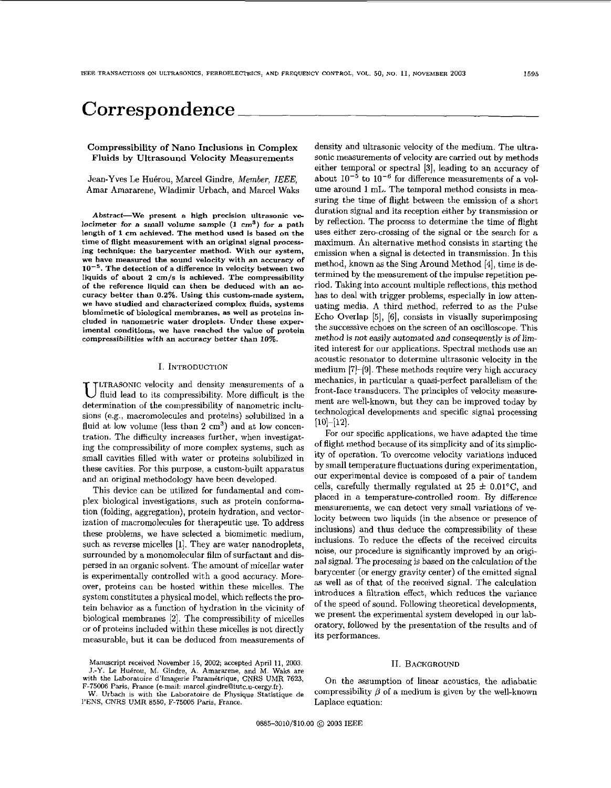# **Correspondence**

## Compressibility of Nan0 Inclusions in Complex Fluids by Ultrasound Velocity Measurements

Jean-Yves Le Huérou, Marcel Gindre, Member, IEEE, Amar Amararene, Wladimir Urbach, and Marcel Waks

**Abstract-We present a high precision ultrasonic ve**  locimeter for a small volume sample  $(1 \text{ cm}^3)$  for a path **length of 1 em achieved. The method used is based on the time of flight measurement with an original signal proeessing technique: the baryeenter method. With our system, we have measured the sound velocity with an accuracy of lo-'. The detection of a difference in velocity between two liquids of about 2 cm/s is achieved. The compressibility of the reference liquid can then he deduced with an accuracy better than** *0.2%.* **Using this custom-made system, we have studied and characterized complex fluids, systems biomimetic of biological membranes. as well as proteins included in nanometrie water droplets. Under these experimental conditions, we have reached the value of protein compressibilities with an accuracy better than 10%.** 

#### I. **INTRODUCTION**

**LTRASONIC velocity and density measurements of a** fluid lead to its compressibility. More difficult is the determination of the compressibility of nanometric inclusions (e.g., macromolecules and proteins) solubilized in a fluid at low volume (less than 2 cm<sup>3</sup>) and at low concentration. The difficulty increases further, when investigating the compressibility of more complex systems, such as small cavities filled with water or proteins solubilized in these cavities. For this purpose, a custom-built apparatus and an original methodology have been developed.

This device can be utilized for fundamental and complex biological investigations, such **as** protein conformation (folding, aggregation), protein hydration, and vectorization of macromolecules for therapeutic use. To address these problems, we have selected a biomimetic medium, such as reverse micelles [l]. They are water nanodroplets, surrounded by a monomolecular film of surfactant and dispersed in an organic solvent. The amount of micellar water is experimentally controlled with a good accuracy. More over, proteins can be hosted within these micelles. The system constitutes a physical model, which reflects the protein behavior as a function of hydration in the vicinity of biological membranes *[2].* The compressibility of micelles or of proteins included within these micelles is not directly measurable, hut it can he deduced from measurements of

W. **Urbach is with the Laboratoire de Physique Statistique de I'ENS, CNRS UMR 8550, F-75005 Paris,** Ftance.

density and ultrasonic velocity of the medium. The ultrasonic measurements of velocity are carried out by methods either temporal or spectral **[3],** leading to an accuracy of about  $10^{-5}$  to  $10^{-6}$  for difference measurements of a volume around 1 mL. The temporal method consists in measuring the time of flight between the emission of a short duration signal and its reception either by transmission or by reffection. The process to determine the time of flight uses either zero-crossing of the signal or the search for a maximum. An alternative method consists in starting the emission when a signal is detected in transmission. In this method, known as the Sing Around Method [4], time is determined by the measurement of the impulse repetition period. Taking into account multiple reflections, this method **has** to deal with trigger problems, especially in low attenuating media. A third method, referred to as the Pulse Echo Overlap [5], [6], consists in visually superimposing the successive echoes on the screen of an oscilloscope. This method is not easily automated and consequently is of limited interest for our applications. Spectral methods use an acoustic resonator to determine ultrasonic velocity in the medium  $[7]-[9]$ . These methods require very high accuracy mechanics, in particular a quasi-perfect parallelism of the front-face transducers. The principles of velocity measurement are well-known, but they can be improved today by technological developments and specific signal processing **[10]-[12]** 

For our specific applications, we have adapted the time of flight method because of its simplicity and of its simplicity of operation. To overcome velocity variations induced by small temperature fluctuations during experimentation, our experimental device is composed of a pair of tandem cells, carefully thermally regulated at  $25 \pm 0.01^{\circ}$ C, and placed in a temperature-controlled room. By difference measurements, we can detect very small variations of velocity between two liquids (in the absence or presence of inclusions) and thus deduce the compressibility of these inclusions. To reduce the effects of the received circuits noise, our procedure is significantly improved by an original signal. The processing is based on the calculation of the barycenter (or energy gravity center) of the emitted signal **as** well as of that of the received signal. The calculation introduces a filtration effect, which reduces the variance of the speed of sound. Following theoretical developments, we present the experimental system developed in our laboratory, followed by the presentation of the results and of its performances.

## 11. **BACKGROUND**

On the assumption of linear acoustics, the adiabatic compressibility  $\beta$  of a medium is given by the well-known Laplace equation:

**Manuscript received November 15, 2002; accepted April 11,** 2003. J.-Y. Le Huérou, M. Gindre, A. Amararene, and M. Waks are with the Laboratoire d'Imagerie Paramétrique, CNRS UMR 7623, F-75006 Paris, France (e-mail: marcel.gindre@iutc.u-cergy.fr).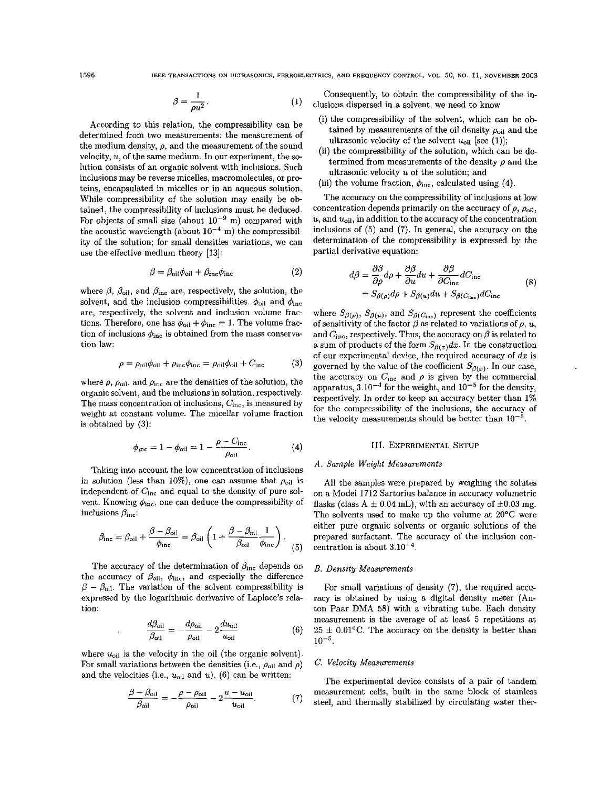$$
\beta = \frac{1}{\rho u^2}.\tag{1}
$$

According to this relation, the compressibility can he determined from two measurements: the measurement of the medium density,  $\rho$ , and the measurement of the sound velocity, u, of the same medium. In our experiment, the solution consists of an organic solvent with inclusions. Such inclusions may he reverse micelles, macromolecules, or prcteins, encapsulated in micelles or in an aqueous solution. (iii) the volume fraction,  $\phi_{\text{inc}}$ , calculated using (4). While compressibility of the solution may easily be **ob**tained, the compressibility of inclusions must be deduced. For objects of small size (about  $10^{-9}$  m) compared with the acoustic wavelength (about  $10^{-4}$  m) the compressibility of the solution; for small densities variations, we can use the effective medium theory [13]:

$$
\beta = \beta_{\text{oil}} \phi_{\text{oil}} + \beta_{\text{inc}} \phi_{\text{inc}}
$$
 (2)

where  $\beta$ ,  $\beta_{\text{oil}}$ , and  $\beta_{\text{inc}}$  are, respectively, the solution, the solvent, and the inclusion compressibilities.  $\phi_{\text{oil}}$  and  $\phi_{\text{inc}}$ are, respectively, the solvent and inclusion volume fractions. Therefore, one has  $\phi_{\text{oil}} + \phi_{\text{inc}} = 1$ . The volume fraction of inclusions  $\phi_{\text{inc}}$  is obtained from the mass conservation law:

$$
\rho = \rho_{\text{oil}} \phi_{\text{oil}} + \rho_{\text{inc}} \phi_{\text{inc}} = \rho_{\text{oil}} \phi_{\text{oil}} + C_{\text{inc}} \tag{3}
$$

where  $\rho$ ,  $\rho_{\text{oil}}$ , and  $\rho_{\text{inc}}$  are the densities of the solution, the organic solvent, and the inclusions in solution, respectively. The mass concentration of inclusions,  $C_{\text{inc}}$ , is measured by weight at constant volume. The micellar volume fraction is obtained by (3):

$$
\phi_{\text{inc}} = 1 - \phi_{\text{oil}} = 1 - \frac{\rho - C_{\text{inc}}}{\rho_{\text{oil}}}.
$$
\n(4)

Taking into account the low concentration of inclusions in solution (less than 10%), one can assume that  $\rho_{\text{oil}}$  is independent of  $C_{\text{inc}}$  and equal to the density of pure solvent. Knowing  $\phi_{\text{inc}}$ , one can deduce the compressibility of inclusions  $\beta_{\text{inc}}$ :

$$
\beta_{\rm inc} = \beta_{\rm oil} + \frac{\beta - \beta_{\rm oil}}{\phi_{\rm inc}} = \beta_{\rm oil} \left( 1 + \frac{\beta - \beta_{\rm oil}}{\beta_{\rm oil}} \frac{1}{\phi_{\rm inc}} \right). \tag{5}
$$

The accuracy of the determination of  $\beta_{\text{inc}}$  depends on the accuracy of  $\beta_{\text{oil}}$ ,  $\phi_{\text{inc}}$ , and especially the difference the accuracy of  $\beta_{\text{oil}}$ ,  $\phi_{\text{inc}}$ , and especially the difference  $\beta - \beta_{\text{oil}}$ . The variation of the solvent compressibility is expressed by the logarithmic derivative of Laplace's relation:<br> $\frac{d\beta_{\text{oil}}}{\beta_{\text{oil}}} = -\$ expressed by the logarithmic derivative of Laplace's relation:

$$
\frac{d\beta_{\text{oil}}}{\beta_{\text{oil}}} = -\frac{d\rho_{\text{oil}}}{\rho_{\text{oil}}} - 2\frac{du_{\text{oil}}}{u_{\text{oil}}}
$$
(6)

where  $u_{\text{oil}}$  is the velocity in the oil (the organic solvent). For small variations between the densities (i.e.,  $\rho_{\text{oil}}$  and  $\rho$ ) and the velocities (i.e.,  $u_{\text{oil}}$  and  $u$ ), (6) can be written:

$$
\frac{\beta - \beta_{\text{oil}}}{\beta_{\text{oil}}} = -\frac{\rho - \rho_{\text{oil}}}{\rho_{\text{oil}}} - 2\frac{u - u_{\text{oil}}}{u_{\text{oil}}}.\tag{7}
$$

Consequently, to obtain the compressibility of the in clusions dispersed in a solvent, we need to know

- (i) the Compressibility of the solvent, which can be *ob*tained by measurements of the oil density  $\rho_{\text{oil}}$  and the ultrasonic velocity of the solvent  $u_{\text{oil}}$  [see (1)];
- (ii) the compressibility of the solution, which can be determined from measurements of the density  $\rho$  and the ultrasonic velocity *u* of the solution; and
- 

The accuracy on the compressibility of inclusions at low concentration depends primarily on the accuracy of  $\rho$ ,  $\rho_{\text{oil}}$ ,  $u$ , and  $u_{\text{oil}}$ , in addition to the accuracy of the concentration inclusions of *(5)* and **(7).** In general, the accuracy on the determination of the compressibility is expressed by the partial derivative equation:

$$
d\beta = \frac{\partial \beta}{\partial \rho} d\rho + \frac{\partial \beta}{\partial u} du + \frac{\partial \beta}{\partial C_{\text{inc}}} dC_{\text{inc}} = S_{\beta(\rho)} d\rho + S_{\beta(u)} du + S_{\beta(C_{\text{inc}})} dC_{\text{inc}}
$$
(8)

where  $S_{\beta(\rho)}, S_{\beta(u)},$  and  $S_{\beta(C_{\text{inc}})}$  represent the coefficients of sensitivity of the factor  $\beta$  as related to variations of  $\rho$ , *u*, and  $C_{\text{inc}}$ , respectively. Thus, the accuracy on  $\beta$  is related to a sum of products of the form  $S_{\beta(x)}dx$ . In the construction of our experimental device, the required accuracy of *dx* is governed by the value of the coefficient  $S_{\beta(x)}$ . In our case, the accuracy on  $C_{\text{inc}}$  and  $\rho$  is given by the commercial apparatus,  $3.10^{-4}$  for the weight, and  $10^{-5}$  for the density, respectively. In order to keep an accuracy better than **1%**  for the compressibility of the inclusions, the accuracy of the velocity measurements should be better than  $10^{-5}$ .

#### 111. **EXPERIMENTAL** SETUP

## *A. Sample Weight Measurements*

All the samples were prepared hy weighing the solutes on a Model 1712 Sartorius balance in accuracy volumetric flasks (class  $A \pm 0.04$  mL), with an accuracy of  $\pm 0.03$  mg. The solvents used to make up the volume at 20'C were either pure organic solvents or organic solutions of the prepared surfactant. The accuracy of the inclusion concentration is about **3.10-4.** 

## *B. Density Measurements*

For small variations of density **(7),** the required accuracy is obtained by using a digital density meter (Anton Paar **DMA** 58) with a vibrating tube. Each density measurement is the average of at least *5* repetitions at  $25 \pm 0.01^{\circ}$ C. The accuracy on the density is better than **10-5.** 

## *C. Velocity Measurements*

The experimental device consists of a pair of tandem measurement cells, built in the same block of stainless steel, and thermally stabilized by circulating water ther-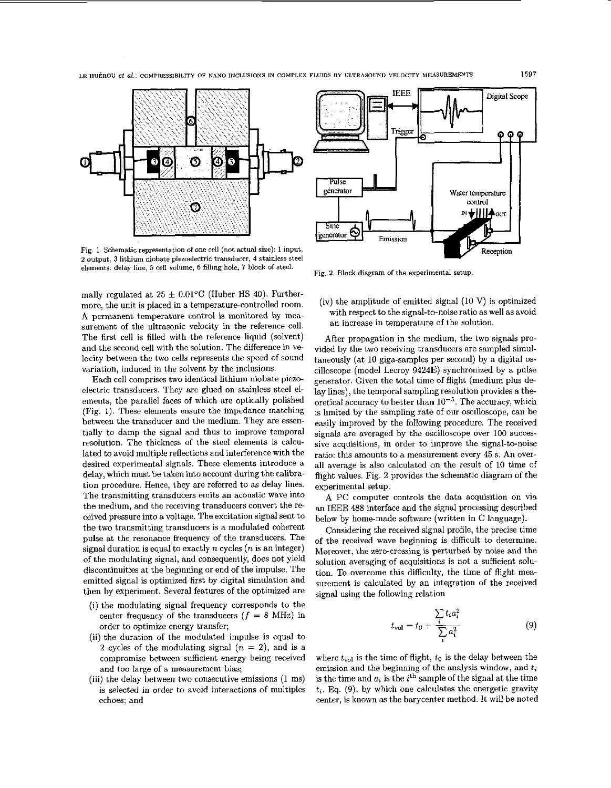LE **HUCROU et al.:** COMPRESSIBILITY **OF** NAN0 INCLUSIONS IN **COMPLEX** FLUIDS BY ULTRASOUND VELOCITY MEASUREMENTS **1597** 



Fig. 1. **Schematic representation of** one **cell** (not actual **size):** 1 **input,**  2 output, 3 lithium niobate piezoelectric transducer, 4 stainless steel **elements: delay line, 5 cell volume, 6** filling **hole,** 7 **block of steel.** Fig. **2.** Block **diagram of the experimental setup** 

mally regulated at  $25 \pm 0.01^{\circ}$ C (Huber HS 40). Furthermore, the unit is placed in a temperature-controlled room. **A** permanent temperature control is monitored by measurement of the ultrasonic velocity in the reference cell. The first cell is filled with the reference liquid (solvent) and the second cell with the solution. The difference in ve locity between the two cells represents the speed of sound variation, induced in the solvent by the inclusions.

Each cell comprises two identical lithium niobate piezoelectric transducers. They are glued on stainless steel elements, the parallel faces of which are optically polished (Fig. 1). These elements ensure the impedance matching between the transducer and the medium. They are essentially to damp the signal and thus to improve temporal resolution. The thickness of the steel elements is calculated to avoid multiple reflections and interference with the desired experimental signals. These elements introduce **a**  delay, which must be taken into account during the calibration procedure. Hence, they are referred to as delay lines. The transmitting transducers emits an acoustic wave into the medium, and the receiving transducers convert the re ceived pressure into **a** voltage. The excitation signal sent to the two transmitting transducers is a modulated coherent pulse at the resonance frequency of the transducers. The signal duration is equal to exactly  $n$  cycles ( $n$  is an integer) of the modulating signal, and consequently, does not yield discontinuities at the beginning or end of the impulse. The emitted signal is optimized first by digital simulation and then by experiment. Several features of the optimized are

- (i) the modulating signal frequency corresponds to the center frequency of the transducers  $(f = 8 \text{ MHz})$  in order to optimize energy transfer;
- (ii) the duration of the modulated impulse is equal to **<sup>2</sup>**cycles of the modulating signal *(n* = 2), and is **a**  compromise between sufficient energy being received and too large of **a** measurement bias;
- (iii) the delay between two consecutive emissions (1 ms) is selected in order to avoid interactions of multiples echoes: and



(iv) the amplitude of emitted signal (10 **V)** is optimized with respect to the signal-to-noise ratio as well as avoid an increase in temperature of the solution.

After propagation in the medium, the two signals provided by the two receiving transducers are sampled simultaneously (at 10 giga-samples per second) by a digital oscilloscope (model Lecroy **94240)** synchronized by a pulse generator. Given the total time of flight (medium plus de lay lines), the temporal sampling resolution provides a theoretical accuracy to better than  $10^{-5}$ . The accuracy, which is limited by the sampling rate of our oscilloscope, can be easily improved by the following procedure. The received signals are averaged by the oscilloscope over 100 successive acquisitions, in order to improve the signal-to-noise ratio: this amounts to **a** measurement every **45** *s.* An over**all** average is also calculated on the result of 10 time of flight values. Fig. 2 provides the schematic diagram of the experimental setup.

**A** PC computer controls the data acquisition on via an IEEE 488 interface and the signal processing described below by homemade software (written in C language).

Considering the received signal profile, the precise time of the received wave beginning is difficult to determine. Moreover, the zero-crossing is perturbed by noise and the solution averaging of acquisitions is not **a** sufficient sohtion. To overcome this difficulty, the time of flight measurement is calculated by an integration of the received signal using the following relation From  $\frac{d}{dt}$  *is* perturbed by interference to the and the difficulty, the time of the difficulty, the time of owing relation  $\sum t_i a_i^2$ <br> $t_{\text{vol}} = t_0 + \frac{i}{\sum_i a_i^2}$ 

$$
t_{\rm vol} = t_0 + \frac{\sum_{i} t_i a_i^2}{\sum_{i} a_i^2}
$$
 (9)

where  $t_{vol}$  is the time of flight,  $t_0$  is the delay between the emission and the beginning of the analysis window, and  $t_{\mathit{i}}$ is the time and  $a_i$  is the i<sup>th</sup> sample of the signal at the time  $t_i$ . Eq.  $(9)$ , by which one calculates the energetic gravity center, is known as the barycenter method. It will be noted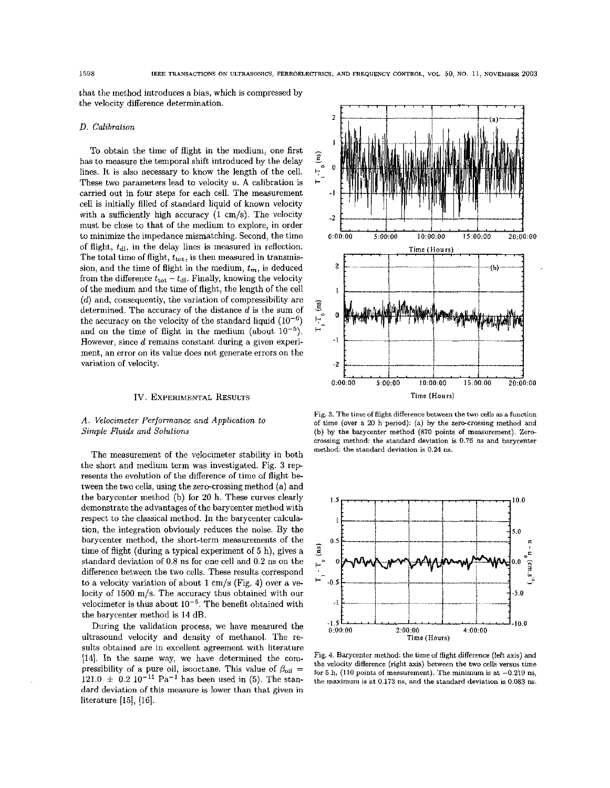that the method introduces a bias, which is compressed by the velocity difference determination.  $\hspace{0.1mm}$   $\hspace{0.1mm}$   $\hspace{0.1mm}$   $\hspace{0.1mm}$   $\hspace{0.1mm}$ 

## *D.* Calibration

To obtain the time of flight in the medium, one first has to measure the temporal shift introduced by the delay lines. It is also necessary to know the length of the cell. These two parameters lead to velocity  $u$ . A calibration is carried out in four steps for each cell. The measurement cell is initially filled of standard liquid *of* known velocity with a sufficiently high accuracy **(1** cm/s). The velocity must be close to that of the medium to explore, in order to minimize the impedance mismatching. Second, the time *of flight,*  $t_{d}$ *, in the delay lines is measured in reflection.* The total time of flight,  $t_{\text{tot}}$ , is then measured in transmission, and the time of flight in the medium,  $t_m$ , is deduced from the difference  $t_{\text{tot}} - t_{\text{dl}}$ . Finally, knowing the velocity of the medium and the time of flight, the length of the cell  $(d)$  and, consequently, the variation of compressibility are determined. The accuracy of the distance  $d$  is the sum of the accuracy on the velocity of the standard liquid  $(10^{-6})$ and on the time of flight in the medium (about  $10^{-5}$ ). However, since d remains constant during a given experiment, an error on its value does not generate errors on the variation **of** velocity.

## IV. **EXPERIMENTAL RESULTS**

# *A.* Velocimeter Performance and Application to Simple *Fluids* and Solutions

The measurement of the velocimeter stability in both the short and medium term was investigated. Fig. **3** rep resents the evolution of the difference **of** time *of* flight between the two cells, using the zero-crossing method (a) and the barycenter method (b) for 20 h. These curves clearly demonstrate the advantages of the barycenter method with respect to the classical method. In the barycenter calculation, the integration obviously reduces the noise. By the barycenter method, the short-term measurements of the time of flight (during a typical experiment **of** 5 h), gives a standard deviation of 0.8 ns for one cell and 0.2 ns on the difference between the two cells. These results correspond to a velocity variation of about 1 cm/s (Fig. **4)** over a velocity of 1500 m/s. The accuracy thus obtained with our velocimeter is thus about  $10^{-5}$ . The benefit obtained with the barycenter method is **14** dB.

During the validation process, we have measured the ultrasound velocity and density of methanol. The re sults obtained are in excellent agreement with literature **[14].** In the same way, we have determined the compressibility of a pure oil, isooctane. This value of  $\beta_{\text{oil}} =$  $121.0 \pm 0.2$   $10^{-11}$  Pa<sup>-1</sup> has been used in (5). The standard deviation of this measure is lower than that given in literature  $[15]$ ,  $[16]$ .



**Fig. 3. The time of flight difference between the two cells as a** function **of time (aver a 20 h period): (a) by the zero-crossing method and**  (b) by the barycenter method (870 points of measurement). Zerocrossing method: the standard deviation is 0.76 ns and barycenter **method: the standard deviation is 0.24 ns.** 



**Fig. 4. Barycenter method: the time of Right difference (left axis) and the velocity difference (right axis) between the two cells versus time**  for  $5$  h, (110 points of measurement). The minimum is at  $-0.219$  ns, the maximum is at 0.173 ns, and the standard deviation is 0.083 ns.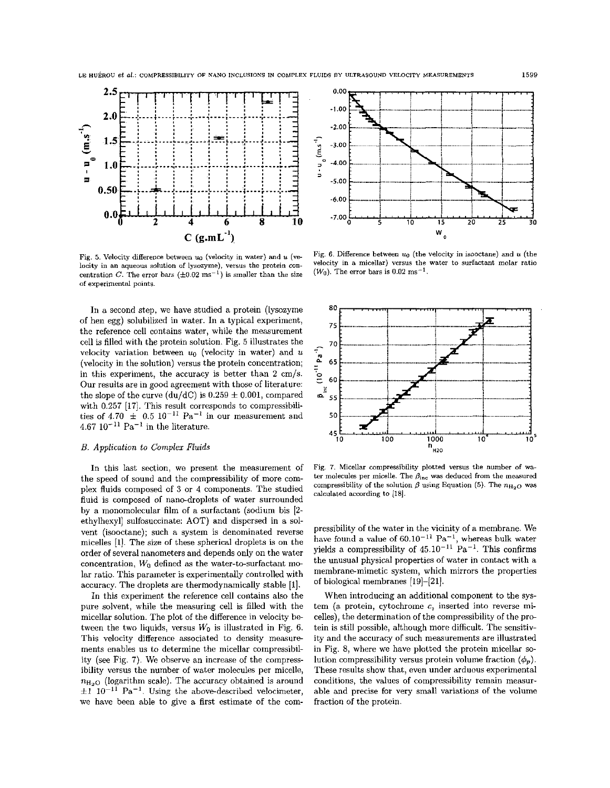

**Fig. 5. Velocity difference between uo (velocity in water) and**  (.. locity in an aqueous solution of lysozyme), versus the protein concentration C. The error bars  $(\pm 0.02 \text{ ms}^{-1})$  is smaller than the size  $(W_0)$ . The error bars is 0.02 ms<sup>-1</sup>. **of experimental points** 

In **a** second step, we have studied a protein (lysozyme of ben egg) solubilized in water. In a typical experiment, the reference cell contains water, while the measurement cell is filled with the protein solution. Fig. *5* illustrates the velocity variation between  $u_0$  (velocity in water) and  $u$ (velocity in the solution) versus the protein concentration; in this experiment, the accuracy is better than **2** cm/s. Our results are in good agreement with those of literature: the slope of the curve (du/dC) is  $0.259 \pm 0.001$ , compared with 0.257 [17]. This result corresponds to compressibilities of  $4.70 \pm 0.5$  10<sup>-11</sup> Pa<sup>-1</sup> in our measurement and  $4.67 \, 10^{-11} \, \text{Pa}^{-1}$  in the literature.

# *B.* Application *to* Complex *Fluids*

In this last section, we present the measurement of the speed of sound and the compressibility of more complex fluids composed of 3 or 4 components. The studied fluid is composed of nano-droplets of water surrounded by a monomolecular film of **a** surfactant (sodium his **[2**  etbylhexyl] sulfosuccinate: AOT) and dispersed in **a** solvent (isooctane); such **a** system is denominated reverse micelles **[l].** The size of these spherical droplets is on the order **of** several nanometers and depends only on the water concentration,  $W_0$  defined as the water-to-surfactant molar ratio. This parameter is experimentally controlled with accuracy. The droplets are thermodynamically stable [l].

In this experiment the reference cell contains also the pure solvent, while the measuring cell is filled with the micellar solution. The plot of the difference in velocity be tween the two liquids, versus  $W_0$  is illustrated in Fig. 6. This velocity difference associated to density measure ments enables us to determine the micellar compressibility (see Fig. **7).** We observe an increase of the compressibility versus the number of water molecules per micelle,  $n_{H<sub>2</sub>O}$  (logarithm scale). The accuracy obtained is around  $\pm 1$   $10^{-11}$  Pa<sup>-1</sup>. Using the above-described velocimeter, we have been able to give **a** first estimate of the com-



Fig. 6. Difference between  $u_0$  (the velocity in isooctane) and  $u$  (the velocity in a micellar) versus the water to surfactant molar ratio



**Fig.** 7. **Micellar compressibility plotted versus the number of wa**ter molecules per micelle. The  $\beta_{inc}$  was deduced from the measured compressibility of the solution  $\beta$  using Equation (5). The  $n_{\text{H}_2O}$  was **calculated according to** 1181.

pressibility of the water in the vicinity of a membrane. We have found a value of  $60.10^{-11}$  Pa<sup>-1</sup>, whereas bulk water yields a compressibility of  $45.10^{-11}$  Pa<sup>-1</sup>. This confirms the unusual physical properties of water in contact with **a**  membrane-mimetic system, which mirrors the properties of biological membranes [19]-[21].

When introducing an additional component to the system (a protein, cytochrome **c,** inserted into reverse micelles), the determination of the compressibility of the protein is still possible, although more difficult. The sensitivity and the accuracy of such measurements are illustrated in Fig. 8, where we have plotted the protein micellar *so*lution compressibility versus protein volume fraction  $(\phi_p)$ . These results show that, even under arduous experimental conditions, the values of compressibility remain measurable and precise for very small variations of the volume fraction of the protein.